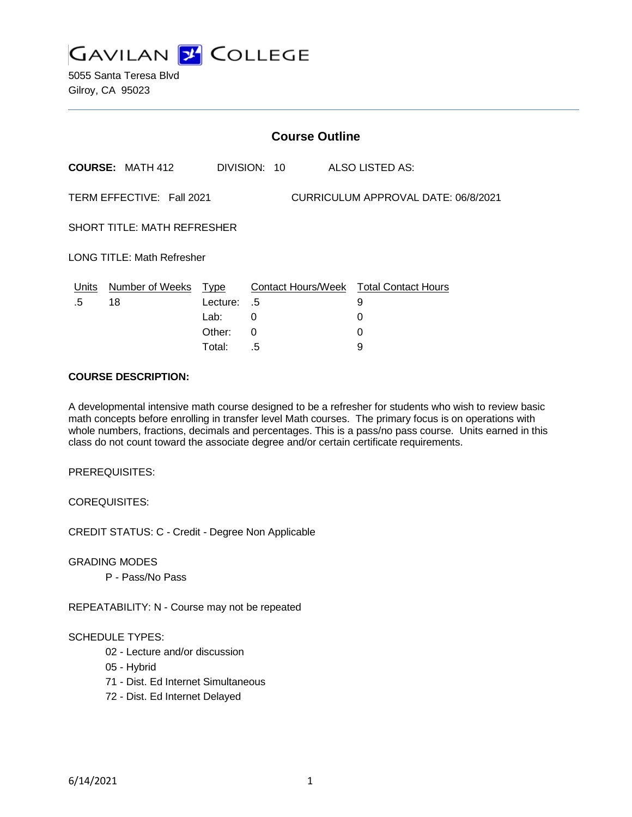

5055 Santa Teresa Blvd Gilroy, CA 95023

|                                                                  | <b>Course Outline</b>      |             |                              |   |                                        |
|------------------------------------------------------------------|----------------------------|-------------|------------------------------|---|----------------------------------------|
|                                                                  | <b>COURSE: MATH 412</b>    |             | DIVISION: 10 ALSO LISTED AS: |   |                                        |
| TERM EFFECTIVE: Fall 2021<br>CURRICULUM APPROVAL DATE: 06/8/2021 |                            |             |                              |   |                                        |
| <b>SHORT TITLE: MATH REFRESHER</b>                               |                            |             |                              |   |                                        |
| <b>LONG TITLE: Math Refresher</b>                                |                            |             |                              |   |                                        |
|                                                                  | Units Number of Weeks Type |             |                              |   | Contact Hours/Week Total Contact Hours |
| .5                                                               | 18                         | Lecture: .5 |                              | 9 |                                        |
|                                                                  |                            | Lab:        | 0                            | 0 |                                        |
|                                                                  |                            | Other:      | 0                            | 0 |                                        |
|                                                                  |                            | Total:      | .5                           | 9 |                                        |

#### **COURSE DESCRIPTION:**

A developmental intensive math course designed to be a refresher for students who wish to review basic math concepts before enrolling in transfer level Math courses. The primary focus is on operations with whole numbers, fractions, decimals and percentages. This is a pass/no pass course. Units earned in this class do not count toward the associate degree and/or certain certificate requirements.

PREREQUISITES:

COREQUISITES:

CREDIT STATUS: C - Credit - Degree Non Applicable

GRADING MODES

P - Pass/No Pass

REPEATABILITY: N - Course may not be repeated

#### SCHEDULE TYPES:

- 02 Lecture and/or discussion
- 05 Hybrid
- 71 Dist. Ed Internet Simultaneous
- 72 Dist. Ed Internet Delayed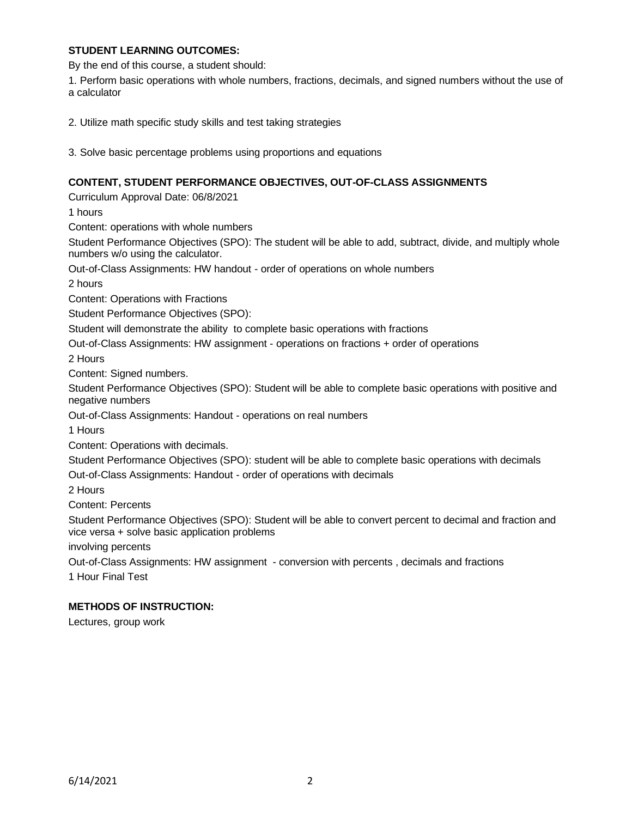### **STUDENT LEARNING OUTCOMES:**

By the end of this course, a student should:

1. Perform basic operations with whole numbers, fractions, decimals, and signed numbers without the use of a calculator

2. Utilize math specific study skills and test taking strategies

3. Solve basic percentage problems using proportions and equations

## **CONTENT, STUDENT PERFORMANCE OBJECTIVES, OUT-OF-CLASS ASSIGNMENTS**

Curriculum Approval Date: 06/8/2021

1 hours

Content: operations with whole numbers

Student Performance Objectives (SPO): The student will be able to add, subtract, divide, and multiply whole numbers w/o using the calculator.

Out-of-Class Assignments: HW handout - order of operations on whole numbers

2 hours

Content: Operations with Fractions

Student Performance Objectives (SPO):

Student will demonstrate the ability to complete basic operations with fractions

Out-of-Class Assignments: HW assignment - operations on fractions + order of operations

2 Hours

Content: Signed numbers.

Student Performance Objectives (SPO): Student will be able to complete basic operations with positive and negative numbers

Out-of-Class Assignments: Handout - operations on real numbers

1 Hours

Content: Operations with decimals.

Student Performance Objectives (SPO): student will be able to complete basic operations with decimals Out-of-Class Assignments: Handout - order of operations with decimals

2 Hours

Content: Percents

Student Performance Objectives (SPO): Student will be able to convert percent to decimal and fraction and vice versa + solve basic application problems

involving percents

Out-of-Class Assignments: HW assignment - conversion with percents , decimals and fractions 1 Hour Final Test

#### **METHODS OF INSTRUCTION:**

Lectures, group work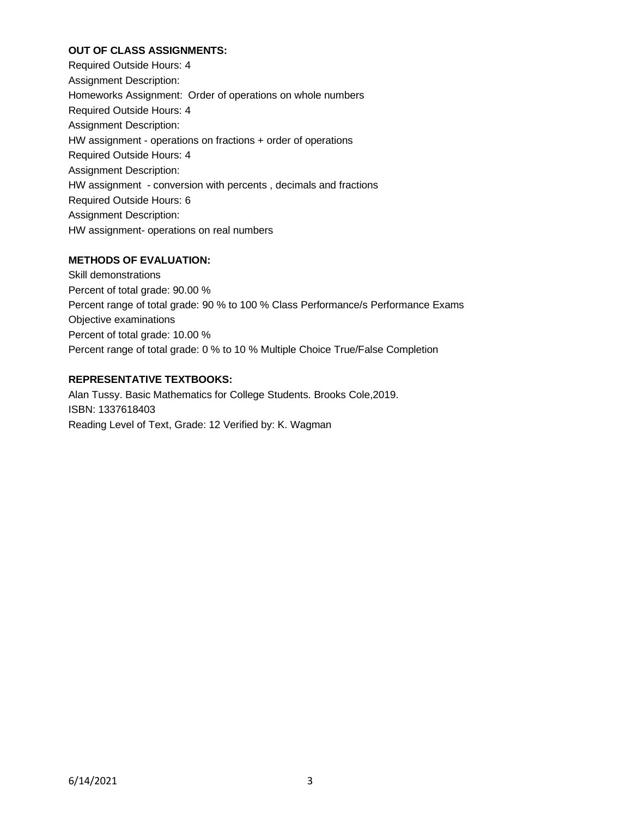## **OUT OF CLASS ASSIGNMENTS:**

Required Outside Hours: 4 Assignment Description: Homeworks Assignment: Order of operations on whole numbers Required Outside Hours: 4 Assignment Description: HW assignment - operations on fractions + order of operations Required Outside Hours: 4 Assignment Description: HW assignment - conversion with percents , decimals and fractions Required Outside Hours: 6 Assignment Description: HW assignment- operations on real numbers

# **METHODS OF EVALUATION:**

Skill demonstrations Percent of total grade: 90.00 % Percent range of total grade: 90 % to 100 % Class Performance/s Performance Exams Objective examinations Percent of total grade: 10.00 % Percent range of total grade: 0 % to 10 % Multiple Choice True/False Completion

# **REPRESENTATIVE TEXTBOOKS:**

Alan Tussy. Basic Mathematics for College Students. Brooks Cole,2019. ISBN: 1337618403 Reading Level of Text, Grade: 12 Verified by: K. Wagman